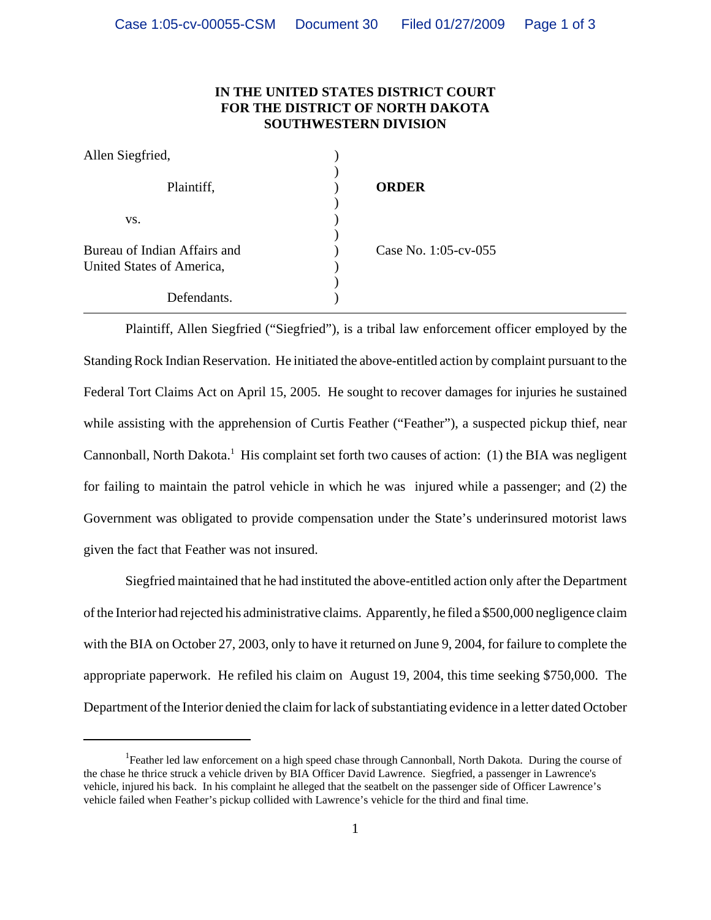## **IN THE UNITED STATES DISTRICT COURT FOR THE DISTRICT OF NORTH DAKOTA SOUTHWESTERN DIVISION**

| Allen Siegfried,                                          |                      |
|-----------------------------------------------------------|----------------------|
| Plaintiff,                                                | <b>ORDER</b>         |
| VS.                                                       |                      |
| Bureau of Indian Affairs and<br>United States of America, | Case No. 1:05-cv-055 |
| Defendants.                                               |                      |

Plaintiff, Allen Siegfried ("Siegfried"), is a tribal law enforcement officer employed by the Standing Rock Indian Reservation. He initiated the above-entitled action by complaint pursuant to the Federal Tort Claims Act on April 15, 2005. He sought to recover damages for injuries he sustained while assisting with the apprehension of Curtis Feather ("Feather"), a suspected pickup thief, near Cannonball, North Dakota.<sup>1</sup> His complaint set forth two causes of action: (1) the BIA was negligent for failing to maintain the patrol vehicle in which he was injured while a passenger; and (2) the Government was obligated to provide compensation under the State's underinsured motorist laws given the fact that Feather was not insured.

Siegfried maintained that he had instituted the above-entitled action only after the Department of the Interior had rejected his administrative claims. Apparently, he filed a \$500,000 negligence claim with the BIA on October 27, 2003, only to have it returned on June 9, 2004, for failure to complete the appropriate paperwork. He refiled his claim on August 19, 2004, this time seeking \$750,000. The Department of the Interior denied the claim for lack of substantiating evidence in a letter dated October

<sup>&</sup>lt;sup>1</sup>Feather led law enforcement on a high speed chase through Cannonball, North Dakota. During the course of the chase he thrice struck a vehicle driven by BIA Officer David Lawrence. Siegfried, a passenger in Lawrence's vehicle, injured his back. In his complaint he alleged that the seatbelt on the passenger side of Officer Lawrence's vehicle failed when Feather's pickup collided with Lawrence's vehicle for the third and final time.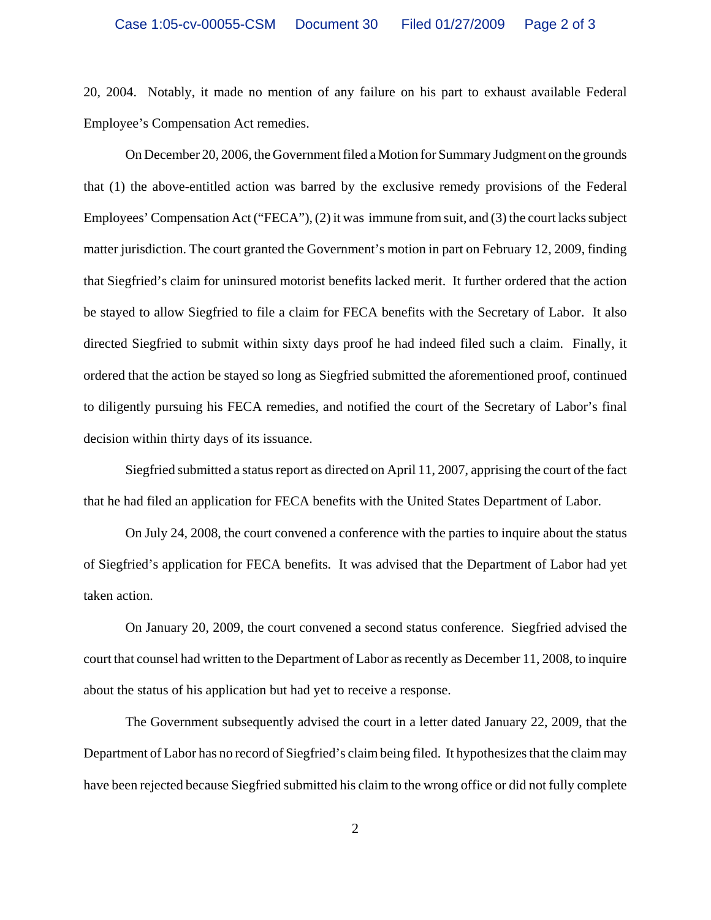20, 2004. Notably, it made no mention of any failure on his part to exhaust available Federal Employee's Compensation Act remedies.

On December 20, 2006, the Government filed a Motion for Summary Judgment on the grounds that (1) the above-entitled action was barred by the exclusive remedy provisions of the Federal Employees' Compensation Act ("FECA"), (2) it was immune from suit, and (3) the court lacks subject matter jurisdiction. The court granted the Government's motion in part on February 12, 2009, finding that Siegfried's claim for uninsured motorist benefits lacked merit. It further ordered that the action be stayed to allow Siegfried to file a claim for FECA benefits with the Secretary of Labor. It also directed Siegfried to submit within sixty days proof he had indeed filed such a claim. Finally, it ordered that the action be stayed so long as Siegfried submitted the aforementioned proof, continued to diligently pursuing his FECA remedies, and notified the court of the Secretary of Labor's final decision within thirty days of its issuance.

Siegfried submitted a status report as directed on April 11, 2007, apprising the court of the fact that he had filed an application for FECA benefits with the United States Department of Labor.

On July 24, 2008, the court convened a conference with the parties to inquire about the status of Siegfried's application for FECA benefits. It was advised that the Department of Labor had yet taken action.

On January 20, 2009, the court convened a second status conference. Siegfried advised the court that counsel had written to the Department of Labor as recently as December 11, 2008, to inquire about the status of his application but had yet to receive a response.

The Government subsequently advised the court in a letter dated January 22, 2009, that the Department of Labor has no record of Siegfried's claim being filed. It hypothesizes that the claim may have been rejected because Siegfried submitted his claim to the wrong office or did not fully complete